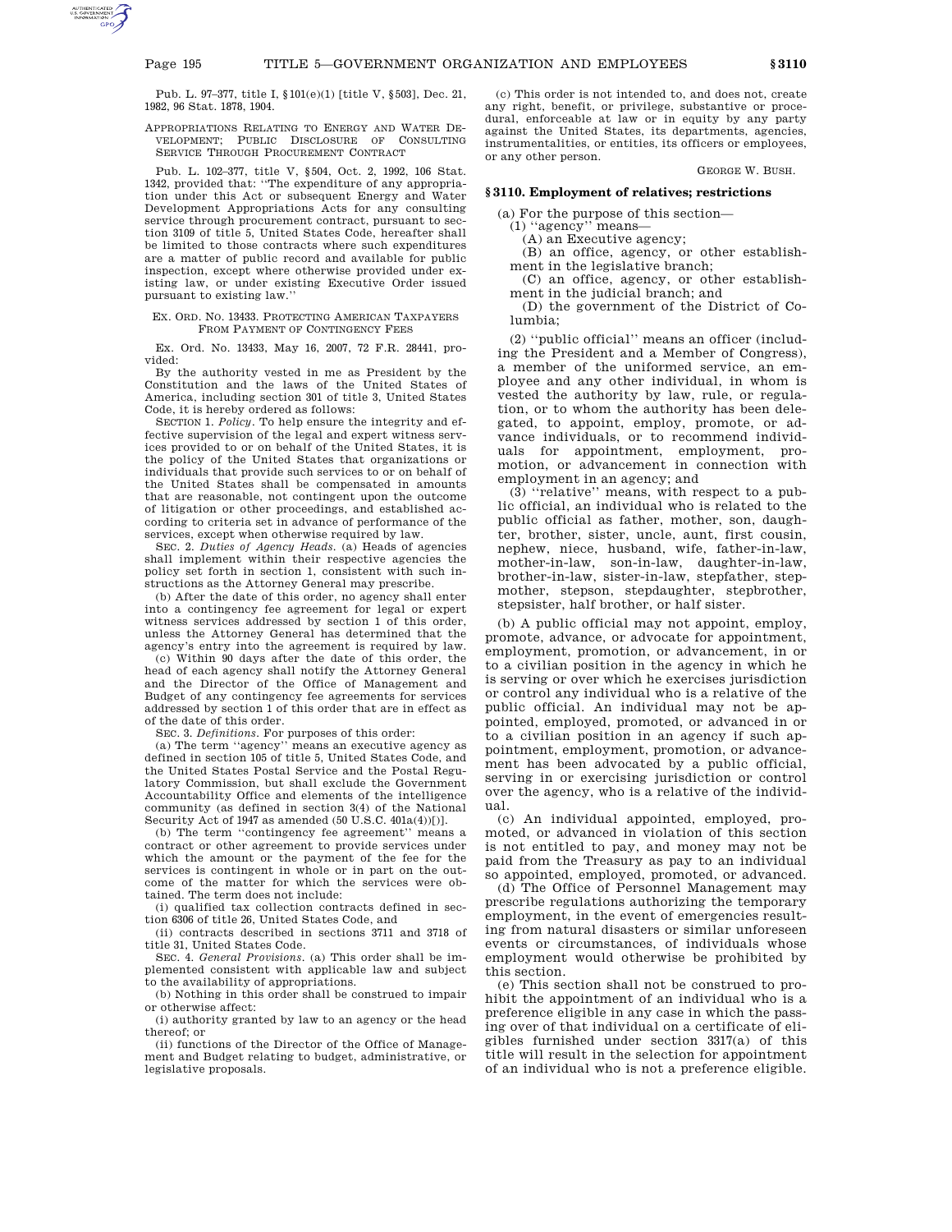Pub. L. 97–377, title I, §101(e)(1) [title V, §503], Dec. 21, 1982, 96 Stat. 1878, 1904.

APPROPRIATIONS RELATING TO ENERGY AND WATER DE-VELOPMENT; PUBLIC DISCLOSURE OF CONSULTING SERVICE THROUGH PROCUREMENT CONTRACT

Pub. L. 102–377, title V, §504, Oct. 2, 1992, 106 Stat. 1342, provided that: ''The expenditure of any appropriation under this Act or subsequent Energy and Water Development Appropriations Acts for any consulting service through procurement contract, pursuant to section 3109 of title 5, United States Code, hereafter shall be limited to those contracts where such expenditures are a matter of public record and available for public inspection, except where otherwise provided under existing law, or under existing Executive Order issued pursuant to existing law.''

### EX. ORD. NO. 13433. PROTECTING AMERICAN TAXPAYERS FROM PAYMENT OF CONTINGENCY FEES

Ex. Ord. No. 13433, May 16, 2007, 72 F.R. 28441, provided:

By the authority vested in me as President by the Constitution and the laws of the United States of America, including section 301 of title 3, United States Code, it is hereby ordered as follows:

SECTION 1. *Policy*. To help ensure the integrity and effective supervision of the legal and expert witness services provided to or on behalf of the United States, it is the policy of the United States that organizations or individuals that provide such services to or on behalf of the United States shall be compensated in amounts that are reasonable, not contingent upon the outcome of litigation or other proceedings, and established according to criteria set in advance of performance of the services, except when otherwise required by law.

SEC. 2. *Duties of Agency Heads*. (a) Heads of agencies shall implement within their respective agencies the policy set forth in section 1, consistent with such instructions as the Attorney General may prescribe.

(b) After the date of this order, no agency shall enter into a contingency fee agreement for legal or expert witness services addressed by section 1 of this order, unless the Attorney General has determined that the agency's entry into the agreement is required by law.

(c) Within 90 days after the date of this order, the head of each agency shall notify the Attorney General and the Director of the Office of Management and Budget of any contingency fee agreements for services addressed by section 1 of this order that are in effect as of the date of this order.

SEC. 3. *Definitions*. For purposes of this order:

(a) The term ''agency'' means an executive agency as defined in section 105 of title 5, United States Code, and the United States Postal Service and the Postal Regulatory Commission, but shall exclude the Government Accountability Office and elements of the intelligence community (as defined in section 3(4) of the National Security Act of  $1947$  as amended  $(50$  U.S.C.  $401a(4))[{\bf )}]$  .

(b) The term ''contingency fee agreement'' means a contract or other agreement to provide services under which the amount or the payment of the fee for the services is contingent in whole or in part on the outcome of the matter for which the services were obtained. The term does not include:

(i) qualified tax collection contracts defined in section 6306 of title 26, United States Code, and

(ii) contracts described in sections 3711 and 3718 of title 31, United States Code.

SEC. 4. *General Provisions*. (a) This order shall be implemented consistent with applicable law and subject to the availability of appropriations.

(b) Nothing in this order shall be construed to impair or otherwise affect:

(i) authority granted by law to an agency or the head thereof; or

(ii) functions of the Director of the Office of Management and Budget relating to budget, administrative, or legislative proposals.

(c) This order is not intended to, and does not, create any right, benefit, or privilege, substantive or procedural, enforceable at law or in equity by any party against the United States, its departments, agencies, instrumentalities, or entities, its officers or employees, or any other person.

GEORGE W. BUSH.

# **§ 3110. Employment of relatives; restrictions**

(a) For the purpose of this section—

- $(1)$  "agency" means-
- (A) an Executive agency;
- (B) an office, agency, or other establishment in the legislative branch;
- (C) an office, agency, or other establishment in the judicial branch; and

(D) the government of the District of Columbia;

(2) ''public official'' means an officer (including the President and a Member of Congress), a member of the uniformed service, an employee and any other individual, in whom is vested the authority by law, rule, or regulation, or to whom the authority has been delegated, to appoint, employ, promote, or advance individuals, or to recommend individuals for appointment, employment, promotion, or advancement in connection with employment in an agency; and

(3) ''relative'' means, with respect to a public official, an individual who is related to the public official as father, mother, son, daughter, brother, sister, uncle, aunt, first cousin, nephew, niece, husband, wife, father-in-law, mother-in-law, son-in-law, daughter-in-law, brother-in-law, sister-in-law, stepfather, stepmother, stepson, stepdaughter, stepbrother, stepsister, half brother, or half sister.

(b) A public official may not appoint, employ, promote, advance, or advocate for appointment, employment, promotion, or advancement, in or to a civilian position in the agency in which he is serving or over which he exercises jurisdiction or control any individual who is a relative of the public official. An individual may not be appointed, employed, promoted, or advanced in or to a civilian position in an agency if such appointment, employment, promotion, or advancement has been advocated by a public official, serving in or exercising jurisdiction or control over the agency, who is a relative of the individual.

(c) An individual appointed, employed, promoted, or advanced in violation of this section is not entitled to pay, and money may not be paid from the Treasury as pay to an individual so appointed, employed, promoted, or advanced.

(d) The Office of Personnel Management may prescribe regulations authorizing the temporary employment, in the event of emergencies resulting from natural disasters or similar unforeseen events or circumstances, of individuals whose employment would otherwise be prohibited by this section.

(e) This section shall not be construed to prohibit the appointment of an individual who is a preference eligible in any case in which the passing over of that individual on a certificate of eligibles furnished under section 3317(a) of this title will result in the selection for appointment of an individual who is not a preference eligible.